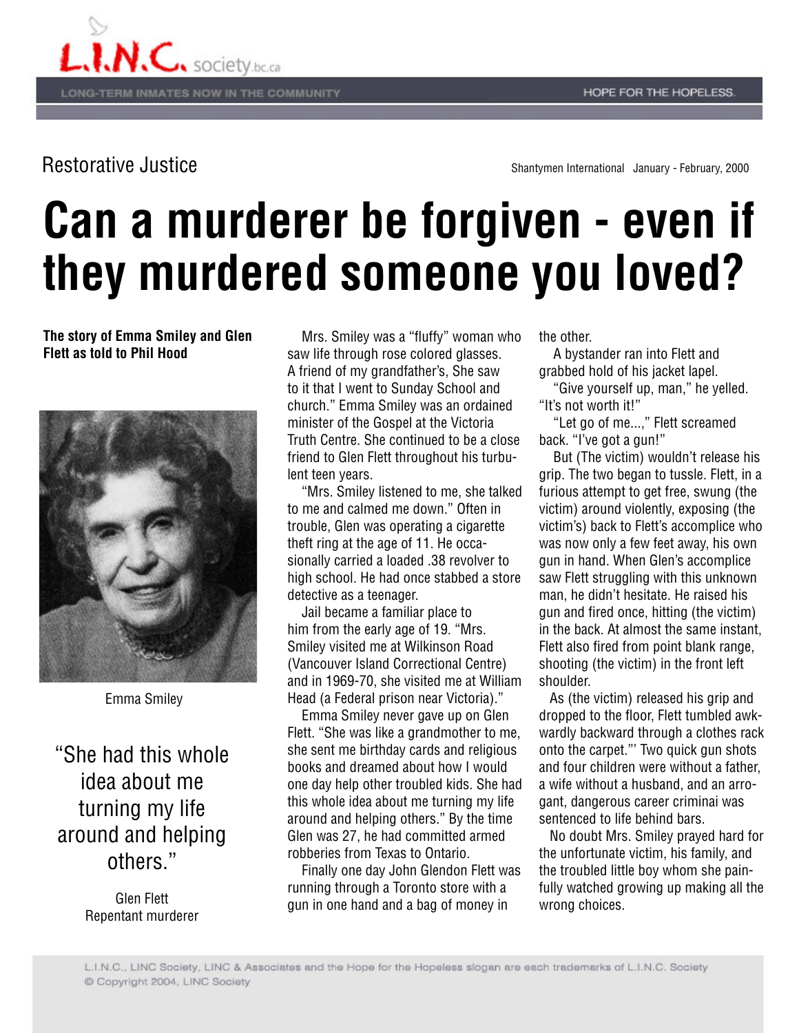

Restorative Justice Shantymen International January - February, 2000

## **Can a murderer be forgiven - even if they murdered someone you loved?**

**The story of Emma Smiley and Glen Flett as told to Phil Hood**



Emma Smiley

"She had this whole idea about me turning my life around and helping others."

> Glen Flett Repentant murderer

 Mrs. Smiley was a "fluffy" woman who saw life through rose colored glasses. A friend of my grandfather's, She saw to it that I went to Sunday School and church." Emma Smiley was an ordained minister of the Gospel at the Victoria Truth Centre. She continued to be a close friend to Glen Flett throughout his turbulent teen years.

 "Mrs. Smiley listened to me, she talked to me and calmed me down." Often in trouble, Glen was operating a cigarette theft ring at the age of 11. He occasionally carried a loaded .38 revolver to high school. He had once stabbed a store detective as a teenager.

 Jail became a familiar place to him from the early age of 19. "Mrs. Smiley visited me at Wilkinson Road (Vancouver Island Correctional Centre) and in 1969-70, she visited me at William Head (a Federal prison near Victoria)."

 Emma Smiley never gave up on Glen Flett. "She was like a grandmother to me, she sent me birthday cards and religious books and dreamed about how I would one day help other troubled kids. She had this whole idea about me turning my life around and helping others." By the time Glen was 27, he had committed armed robberies from Texas to Ontario.

 Finally one day John Glendon Flett was running through a Toronto store with a gun in one hand and a bag of money in

the other.

 A bystander ran into Flett and grabbed hold of his jacket lapel.

 "Give yourself up, man," he yelled. "It's not worth it!"

 "Let go of me...," Flett screamed back. "I've got a gun!"

 But (The victim) wouldn't release his grip. The two began to tussle. Flett, in a furious attempt to get free, swung (the victim) around violently, exposing (the victim's) back to Flett's accomplice who was now only a few feet away, his own gun in hand. When Glen's accomplice saw Flett struggling with this unknown man, he didn't hesitate. He raised his gun and fired once, hitting (the victim) in the back. At almost the same instant, Flett also fired from point blank range, shooting (the victim) in the front left shoulder.

 As (the victim) released his grip and dropped to the floor, Flett tumbled awkwardly backward through a clothes rack onto the carpet."' Two quick gun shots and four children were without a father, a wife without a husband, and an arrogant, dangerous career criminai was sentenced to life behind bars.

 No doubt Mrs. Smiley prayed hard for the unfortunate victim, his family, and the troubled little boy whom she painfully watched growing up making all the wrong choices.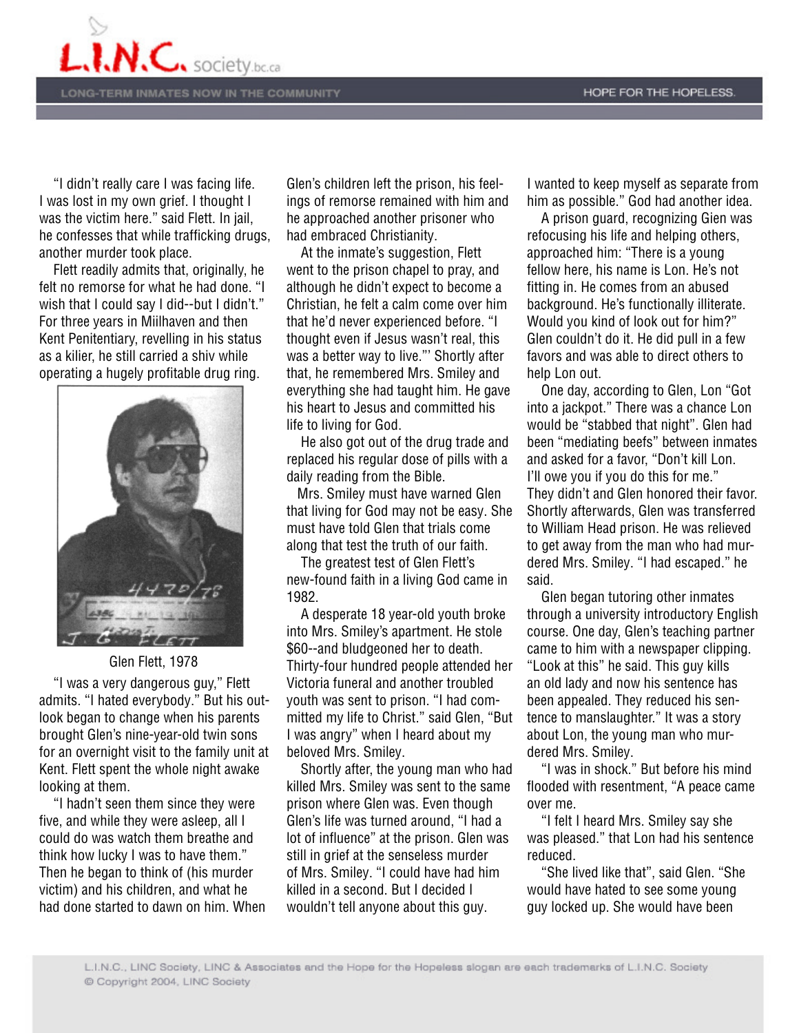

 "I didn't really care I was facing life. I was lost in my own grief. I thought I was the victim here." said Flett. In jail, he confesses that while trafficking drugs, another murder took place.

 Flett readily admits that, originally, he felt no remorse for what he had done. "I wish that I could say I did--but I didn't." For three years in Miilhaven and then Kent Penitentiary, revelling in his status as a kilier, he still carried a shiv while operating a hugely profitable drug ring.



Glen Flett, 1978

 "I was a very dangerous guy," Flett admits. "I hated everybody." But his outlook began to change when his parents brought Glen's nine-year-old twin sons for an overnight visit to the family unit at Kent. Flett spent the whole night awake looking at them.

 "I hadn't seen them since they were five, and while they were asleep, all I could do was watch them breathe and think how lucky I was to have them." Then he began to think of (his murder victim) and his children, and what he had done started to dawn on him. When Glen's children left the prison, his feelings of remorse remained with him and he approached another prisoner who had embraced Christianity.

 At the inmate's suggestion, Flett went to the prison chapel to pray, and although he didn't expect to become a Christian, he felt a calm come over him that he'd never experienced before. "I thought even if Jesus wasn't real, this was a better way to live."' Shortly after that, he remembered Mrs. Smiley and everything she had taught him. He gave his heart to Jesus and committed his life to living for God.

 He also got out of the drug trade and replaced his regular dose of pills with a daily reading from the Bible.

 Mrs. Smiley must have warned Glen that living for God may not be easy. She must have told Glen that trials come along that test the truth of our faith.

 The greatest test of Glen Flett's new-found faith in a living God came in 1982.

 A desperate 18 year-old youth broke into Mrs. Smiley's apartment. He stole \$60--and bludgeoned her to death. Thirty-four hundred people attended her Victoria funeral and another troubled youth was sent to prison. "I had committed my life to Christ." said Glen, "But I was angry" when I heard about my beloved Mrs. Smiley.

 Shortly after, the young man who had killed Mrs. Smiley was sent to the same prison where Glen was. Even though Glen's life was turned around, "I had a lot of influence" at the prison. Glen was still in grief at the senseless murder of Mrs. Smiley. "I could have had him killed in a second. But I decided I wouldn't tell anyone about this guy.

I wanted to keep myself as separate from him as possible." God had another idea.

 A prison guard, recognizing Gien was refocusing his life and helping others, approached him: "There is a young fellow here, his name is Lon. He's not fitting in. He comes from an abused background. He's functionally illiterate. Would you kind of look out for him?" Glen couldn't do it. He did pull in a few favors and was able to direct others to help Lon out.

 One day, according to Glen, Lon "Got into a jackpot." There was a chance Lon would be "stabbed that night". Glen had been "mediating beefs" between inmates and asked for a favor, "Don't kill Lon. I'll owe you if you do this for me." They didn't and Glen honored their favor. Shortly afterwards, Glen was transferred to William Head prison. He was relieved to get away from the man who had murdered Mrs. Smiley. "I had escaped." he said.

 Glen began tutoring other inmates through a university introductory English course. One day, Glen's teaching partner came to him with a newspaper clipping. "Look at this" he said. This guy kills an old lady and now his sentence has been appealed. They reduced his sentence to manslaughter." It was a story about Lon, the young man who murdered Mrs. Smiley.

 "I was in shock." But before his mind flooded with resentment, "A peace came over me.

 "I felt I heard Mrs. Smiley say she was pleased." that Lon had his sentence reduced.

 "She lived like that", said Glen. "She would have hated to see some young guy locked up. She would have been